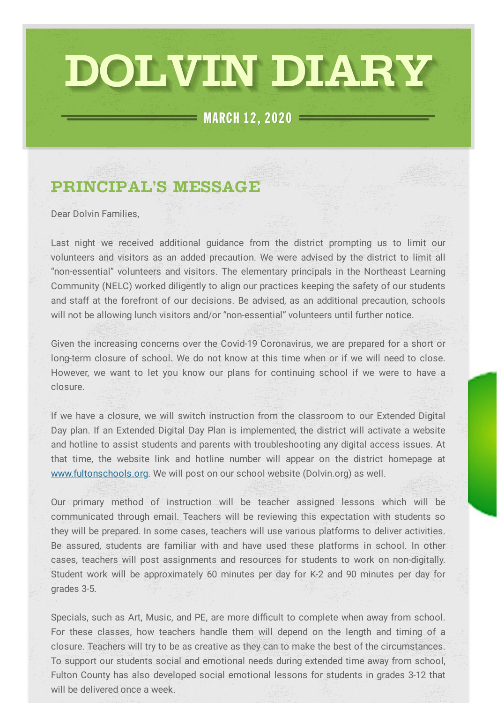# DOLVIN DIARY

 $=$  MARCH 12, 2020  $=$ 

## **PRINCIPAL'S MESSAGE**

Dear Dolvin Families,

Last night we received additional guidance from the district prompting us to limit our volunteers and visitors as an added precaution. We were advised by the district to limit all "non-essential" volunteers and visitors. The elementary principals in the Northeast Learning Community (NELC) worked diligently to align our practices keeping the safety of our students and staff at the forefront of our decisions. Be advised, as an additional precaution, schools will not be allowing lunch visitors and/or "non-essential" volunteers until further notice.

Given the increasing concerns over the Covid-19 Coronavirus, we are prepared for a short or long-term closure of school. We do not know at this time when or if we will need to close. However, we want to let you know our plans for continuing school if we were to have a closure.

If we have a closure, we will switch instruction from the classroom to our Extended Digital Day plan. If an Extended Digital Day Plan is implemented, the district will activate a website and hotline to assist students and parents with troubleshooting any digital access issues. At that time, the website link and hotline number will appear on the district homepage at [www.fultonschools.org.](http://www.fultonschools.org/) We will post on our school website (Dolvin.org) as well.

Our primary method of instruction will be teacher assigned lessons which will be communicated through email. Teachers will be reviewing this expectation with students so they will be prepared. In some cases, teachers will use various platforms to deliver activities. Be assured, students are familiar with and have used these platforms in school. In other cases, teachers will post assignments and resources for students to work on non-digitally. Student work will be approximately 60 minutes per day for K-2 and 90 minutes per day for grades 3-5.

Specials, such as Art, Music, and PE, are more difficult to complete when away from school. For these classes, how teachers handle them will depend on the length and timing of a closure. Teachers will try to be as creative as they can to make the best of the circumstances. To support our students social and emotional needs during extended time away from school, Fulton County has also developed social emotional lessons for students in grades 3-12 that will be delivered once a week.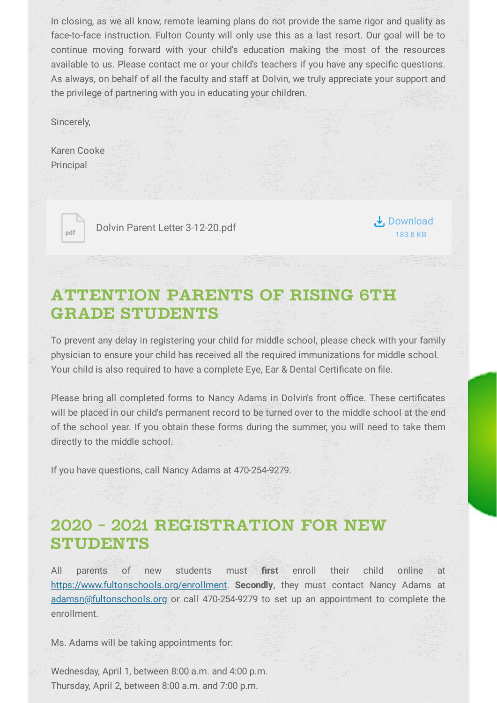In closing, as we all know, remote learning plans do not provide the same rigor and quality as face-to-face instruction. Fulton County will only use this as a last resort. Our goal will be to continue moving forward with your child's education making the most of the resources available to us. Please contact me or your child's teachers if you have any specific questions. As always, on behalf of all the faculty and staff at Dolvin, we truly appreciate your support and the privilege of partnering with you in educating your children.

Sincerely,

Karen Cooke Principal



**pdf** Dolvin Parent Letter [3-12-20.pdf](https://www.smore.com/app/attachments/download/5e6a5a220bec10022e393433)

Download 183.8 KB

## **ATTENTION PARENTS OF RISING 6TH GRADE STUDENTS**

To prevent any delay in registering your child for middle school, please check with your family physician to ensure your child has received all the required immunizations for middle school. Your child is also required to have a complete Eye, Ear & Dental Certificate on file.

Please bring all completed forms to Nancy Adams in Dolvin's front office. These certificates will be placed in our child's permanent record to be turned over to the middle school at the end of the school year. If you obtain these forms during the summer, you will need to take them directly to the middle school.

If you have questions, call Nancy Adams at 470-254-9279.

## **2020 - 2021 REGISTRATION FOR NEW STUDENTS**

All parents of new students must first enroll their child online at [https://www.fultonschools.org/enrollment.](https://www.fultonschools.org/enrollment) **Secondly**, they must contact Nancy Adams at [adamsn@fultonschools.org](mailto:adamsn@fultonschools.org) or call 470-254-9279 to set up an appointment to complete the enrollment.

Ms. Adams will be taking appointments for:

Wednesday, April 1, between 8:00 a.m. and 4:00 p.m. Thursday, April 2, between 8:00 a.m. and 7:00 p.m.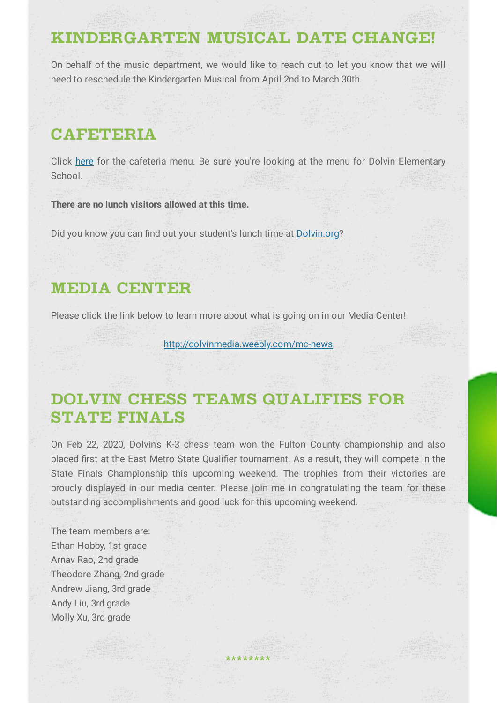#### **KINDERGARTEN MUSICAL DATE CHANGE!**

On behalf of the music department, we would like to reach out to let you know that we will need to reschedule the Kindergarten Musical from April 2nd to March 30th.

## **CAFETERIA**

Click [here](https://nutrition.fultonschools.org/MenuCalendar) for the cafeteria menu. Be sure you're looking at the menu for Dolvin Elementary School.

**There are no lunch visitors allowed at this time.**

Did you know you can find out your student's lunch time at [Dolvin.org?](http://dolvin.org/)

#### **MEDIA CENTER**

Please click the link below to learn more about what is going on in our Media Center!

[http://dolvinmedia.weebly.com/mc-news](https://nam03.safelinks.protection.outlook.com/?url=http%3A%2F%2Fdolvinmedia.weebly.com%2Fmc-news&data=02%7C01%7CCarper%40fultonschools.org%7Ce0b1a9dbc7234785b7c508d75d3acfba%7C0cdcb19881694b70ba9fda7e3ba700c2%7C1%7C0%7C637080379479902644&sdata=Aun%2B0h6rXBLr%2BEwaEeerkdic%2FCSEKIHDKpGtItNLk08%3D&reserved=0)

## **DOLVIN CHESS TEAMS QUALIFIES FOR STATE FINALS**

On Feb 22, 2020, Dolvin's K-3 chess team won the Fulton County championship and also placed first at the East Metro State Qualifier tournament. As a result, they will compete in the State Finals Championship this upcoming weekend. The trophies from their victories are proudly displayed in our media center. Please join me in congratulating the team for these outstanding accomplishments and good luck for this upcoming weekend.

**\*\*\*\*\*\*\*\***

The team members are: Ethan Hobby, 1st grade Arnav Rao, 2nd grade Theodore Zhang, 2nd grade Andrew Jiang, 3rd grade Andy Liu, 3rd grade Molly Xu, 3rd grade